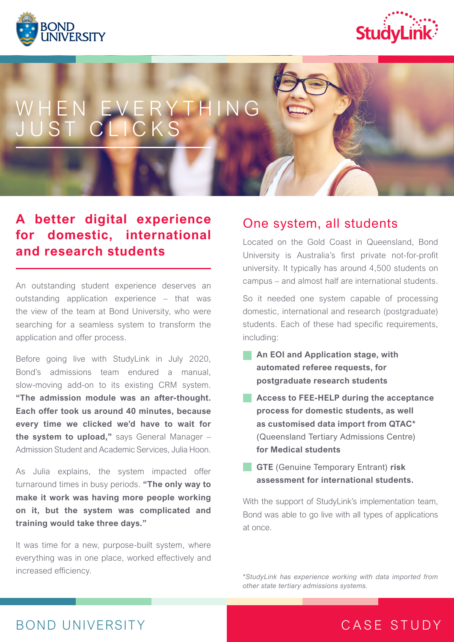



# WHEN EVERYTHING JUST CLICKS

### **A better digital experience for domestic, international and research students**

An outstanding student experience deserves an outstanding application experience – that was the view of the team at Bond University, who were searching for a seamless system to transform the application and offer process.

Before going live with StudyLink in July 2020, Bond's admissions team endured a manual, slow-moving add-on to its existing CRM system. **"The admission module was an after-thought. Each offer took us around 40 minutes, because every time we clicked we'd have to wait for the system to upload,"** says General Manager – Admission Student and Academic Services, Julia Hoon.

As Julia explains, the system impacted offer turnaround times in busy periods. **"The only way to make it work was having more people working on it, but the system was complicated and training would take three days."** 

It was time for a new, purpose-built system, where everything was in one place, worked effectively and increased efficiency.

#### One system, all students

Located on the Gold Coast in Queensland, Bond University is Australia's first private not-for-profit university. It typically has around 4,500 students on campus – and almost half are international students.

So it needed one system capable of processing domestic, international and research (postgraduate) students. Each of these had specific requirements, including:

- **An EOI and Application stage, with automated referee requests, for postgraduate research students**
- **Access to FEE-HELP during the acceptance process for domestic students, as well as customised data import from QTAC\***  (Queensland Tertiary Admissions Centre) **for Medical students**
- **GTE** (Genuine Temporary Entrant) risk **assessment for international students.**

With the support of StudyLink's implementation team, Bond was able to go live with all types of applications at once.

*\*StudyLink has experience working with data imported from other state tertiary admissions systems.*

# BOND UNIVERSITY

# CASE STUDY